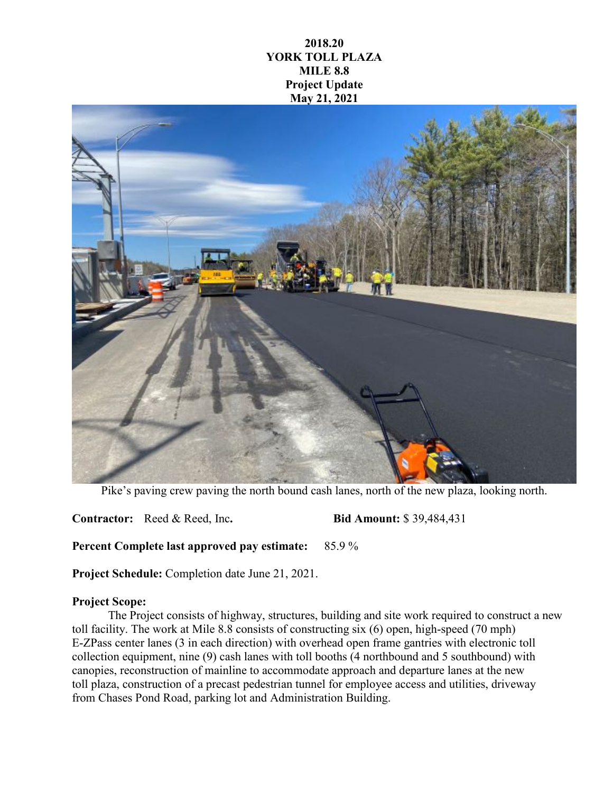## **2018.20 YORK TOLL PLAZA MILE 8.8 Project Update May 21, 2021**



Pike's paving crew paving the north bound cash lanes, north of the new plaza, looking north.

**Contractor:** Reed & Reed, Inc**. Bid Amount:** \$ 39,484,431

**Percent Complete last approved pay estimate:** 85.9 %

**Project Schedule:** Completion date June 21, 2021.

## **Project Scope:**

The Project consists of highway, structures, building and site work required to construct a new toll facility. The work at Mile 8.8 consists of constructing six (6) open, high-speed (70 mph) E-ZPass center lanes (3 in each direction) with overhead open frame gantries with electronic toll collection equipment, nine (9) cash lanes with toll booths (4 northbound and 5 southbound) with canopies, reconstruction of mainline to accommodate approach and departure lanes at the new toll plaza, construction of a precast pedestrian tunnel for employee access and utilities, driveway from Chases Pond Road, parking lot and Administration Building.